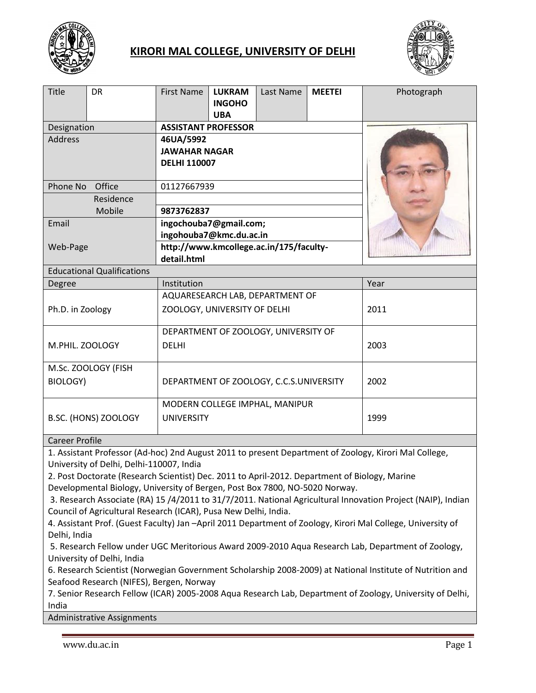

# **KIRORI MAL COLLEGE, UNIVERSITY OF DELHI**



| <b>Title</b><br><b>DR</b>         | <b>LUKRAM</b><br><b>MEETEI</b><br><b>First Name</b><br>Last Name<br><b>INGOHO</b><br><b>UBA</b> | Photograph |
|-----------------------------------|-------------------------------------------------------------------------------------------------|------------|
| Designation                       | <b>ASSISTANT PROFESSOR</b>                                                                      |            |
| <b>Address</b>                    | 46UA/5992                                                                                       |            |
|                                   | <b>JAWAHAR NAGAR</b>                                                                            |            |
|                                   | <b>DELHI 110007</b>                                                                             |            |
| Phone No<br>Office                | 01127667939                                                                                     |            |
| Residence                         |                                                                                                 |            |
| Mobile                            | 9873762837                                                                                      |            |
| Email                             | ingochouba7@gmail.com;                                                                          |            |
|                                   | ingohouba7@kmc.du.ac.in                                                                         |            |
| Web-Page                          | http://www.kmcollege.ac.in/175/faculty-                                                         |            |
|                                   | detail.html                                                                                     |            |
| <b>Educational Qualifications</b> |                                                                                                 |            |
| Degree                            | Institution                                                                                     | Year       |
|                                   | AQUARESEARCH LAB, DEPARTMENT OF                                                                 |            |
| Ph.D. in Zoology                  | ZOOLOGY, UNIVERSITY OF DELHI                                                                    | 2011       |
|                                   | DEPARTMENT OF ZOOLOGY, UNIVERSITY OF                                                            |            |
| M.PHIL. ZOOLOGY                   | <b>DELHI</b>                                                                                    | 2003       |
| M.Sc. ZOOLOGY (FISH               |                                                                                                 |            |
| BIOLOGY)                          | DEPARTMENT OF ZOOLOGY, C.C.S.UNIVERSITY                                                         | 2002       |
|                                   | MODERN COLLEGE IMPHAL, MANIPUR                                                                  |            |
| B.SC. (HONS) ZOOLOGY              | <b>UNIVERSITY</b>                                                                               | 1999       |

### Career Profile

1. Assistant Professor (Ad-hoc) 2nd August 2011 to present Department of Zoology, Kirori Mal College, University of Delhi, Delhi-110007, India

2. Post Doctorate (Research Scientist) Dec. 2011 to April-2012. Department of Biology, Marine Developmental Biology, University of Bergen, Post Box 7800, NO-5020 Norway.

3. Research Associate (RA) 15 /4/2011 to 31/7/2011. National Agricultural Innovation Project (NAIP), Indian Council of Agricultural Research (ICAR), Pusa New Delhi, India.

4. Assistant Prof. (Guest Faculty) Jan –April 2011 Department of Zoology, Kirori Mal College, University of Delhi, India

5. Research Fellow under UGC Meritorious Award 2009-2010 Aqua Research Lab, Department of Zoology, University of Delhi, India

6. Research Scientist (Norwegian Government Scholarship 2008-2009) at National Institute of Nutrition and Seafood Research (NIFES), Bergen, Norway

7. Senior Research Fellow (ICAR) 2005-2008 Aqua Research Lab, Department of Zoology, University of Delhi, India

Administrative Assignments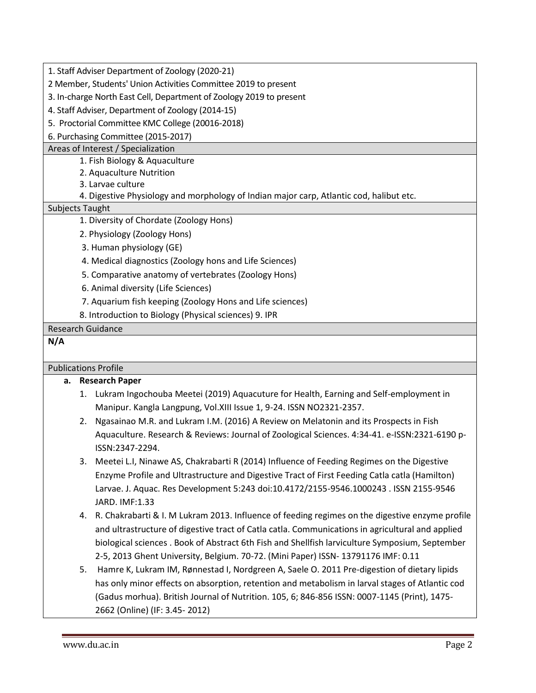| 1. Staff Adviser Department of Zoology (2020-21) |
|--------------------------------------------------|
|--------------------------------------------------|

2 Member, Students' Union Activities Committee 2019 to present

- 3. In-charge North East Cell, Department of Zoology 2019 to present
- 4. Staff Adviser, Department of Zoology (2014-15)
- 5. Proctorial Committee KMC College (20016-2018)

6. Purchasing Committee (2015-2017)

### Areas of Interest / Specialization

- 1. Fish Biology & Aquaculture
- 2. Aquaculture Nutrition
- 3. Larvae culture
- 4. Digestive Physiology and morphology of Indian major carp, Atlantic cod, halibut etc.

## Subjects Taught

- 1. Diversity of Chordate (Zoology Hons)
- 2. Physiology (Zoology Hons)
- 3. Human physiology (GE)
- 4. Medical diagnostics (Zoology hons and Life Sciences)
- 5. Comparative anatomy of vertebrates (Zoology Hons)
- 6. Animal diversity (Life Sciences)
- 7. Aquarium fish keeping (Zoology Hons and Life sciences)
- 8. Introduction to Biology (Physical sciences) 9. IPR

## Research Guidance

# **N/A**

## Publications Profile

- **a. Research Paper**
	- 1. Lukram Ingochouba Meetei (2019) Aquacuture for Health, Earning and Self-employment in Manipur. Kangla Langpung, Vol.XIII Issue 1, 9-24. ISSN NO2321-2357.
	- 2. Ngasainao M.R. and Lukram I.M. (2016) A Review on Melatonin and its Prospects in Fish Aquaculture. Research & Reviews: Journal of Zoological Sciences. 4:34-41. e-ISSN:2321-6190 p-ISSN:2347-2294.
	- 3. Meetei L.I, Ninawe AS, Chakrabarti R (2014) Influence of Feeding Regimes on the Digestive Enzyme Profile and Ultrastructure and Digestive Tract of First Feeding Catla catla (Hamilton) Larvae. J. Aquac. Res Development 5:243 doi:10.4172/2155-9546.1000243 . ISSN 2155-9546 JARD. IMF:1.33
	- 4. R. Chakrabarti & I. M Lukram 2013. Influence of feeding regimes on the digestive enzyme profile and ultrastructure of digestive tract of Catla catla. Communications in agricultural and applied biological sciences . Book of Abstract 6th Fish and Shellfish larviculture Symposium, September 2-5, 2013 Ghent University, Belgium. 70-72. (Mini Paper) ISSN- 13791176 IMF: 0.11
	- 5. Hamre K, Lukram IM, Rønnestad I, Nordgreen A, Saele O. 2011 Pre-digestion of dietary lipids has only minor effects on absorption, retention and metabolism in larval stages of Atlantic cod (Gadus morhua). British Journal of Nutrition. 105, 6; 846-856 ISSN: 0007-1145 (Print), 1475- 2662 (Online) (IF: 3.45- 2012)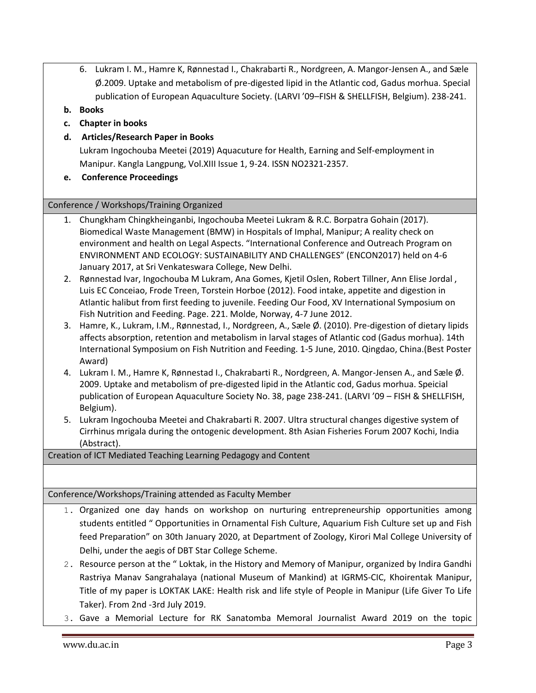- 6. Lukram I. M., Hamre K, Rønnestad I., Chakrabarti R., Nordgreen, A. Mangor-Jensen A., and Sæle Ø.2009. Uptake and metabolism of pre-digested lipid in the Atlantic cod, Gadus morhua. Special publication of European Aquaculture Society. (LARVI '09–FISH & SHELLFISH, Belgium). 238-241.
- **b. Books**
- **c. Chapter in books**
- **d. Articles/Research Paper in Books**

Lukram Ingochouba Meetei (2019) Aquacuture for Health, Earning and Self-employment in Manipur. Kangla Langpung, Vol.XIII Issue 1, 9-24. ISSN NO2321-2357.

**e. Conference Proceedings**

### Conference / Workshops/Training Organized

- 1. Chungkham Chingkheinganbi, Ingochouba Meetei Lukram & R.C. Borpatra Gohain (2017). Biomedical Waste Management (BMW) in Hospitals of Imphal, Manipur; A reality check on environment and health on Legal Aspects. "International Conference and Outreach Program on ENVIRONMENT AND ECOLOGY: SUSTAINABILITY AND CHALLENGES" (ENCON2017) held on 4-6 January 2017, at Sri Venkateswara College, New Delhi.
- 2. Rønnestad Ivar, Ingochouba M Lukram, Ana Gomes, Kjetil Oslen, Robert Tillner, Ann Elise Jordal , Luis EC Conceiao, Frode Treen, Torstein Horboe (2012). Food intake, appetite and digestion in Atlantic halibut from first feeding to juvenile. Feeding Our Food, XV International Symposium on Fish Nutrition and Feeding. Page. 221. Molde, Norway, 4-7 June 2012.
- 3. Hamre, K., Lukram, I.M., Rønnestad, I., Nordgreen, A., Sæle Ø. (2010). Pre-digestion of dietary lipids affects absorption, retention and metabolism in larval stages of Atlantic cod (Gadus morhua). 14th International Symposium on Fish Nutrition and Feeding. 1-5 June, 2010. Qingdao, China.(Best Poster Award)
- 4. Lukram I. M., Hamre K, Rønnestad I., Chakrabarti R., Nordgreen, A. Mangor-Jensen A., and Sæle Ø. 2009. Uptake and metabolism of pre-digested lipid in the Atlantic cod, Gadus morhua. Speicial publication of European Aquaculture Society No. 38, page 238-241. (LARVI '09 – FISH & SHELLFISH, Belgium).
- 5. Lukram Ingochouba Meetei and Chakrabarti R. 2007. Ultra structural changes digestive system of Cirrhinus mrigala during the ontogenic development. 8th Asian Fisheries Forum 2007 Kochi, India (Abstract).

Creation of ICT Mediated Teaching Learning Pedagogy and Content

Conference/Workshops/Training attended as Faculty Member

- 1. Organized one day hands on workshop on nurturing entrepreneurship opportunities among students entitled " Opportunities in Ornamental Fish Culture, Aquarium Fish Culture set up and Fish feed Preparation" on 30th January 2020, at Department of Zoology, Kirori Mal College University of Delhi, under the aegis of DBT Star College Scheme.
- 2. Resource person at the " Loktak, in the History and Memory of Manipur, organized by Indira Gandhi Rastriya Manav Sangrahalaya (national Museum of Mankind) at IGRMS-CIC, Khoirentak Manipur, Title of my paper is LOKTAK LAKE: Health risk and life style of People in Manipur (Life Giver To Life Taker). From 2nd -3rd July 2019.
- 3. Gave a Memorial Lecture for RK Sanatomba Memoral Journalist Award 2019 on the topic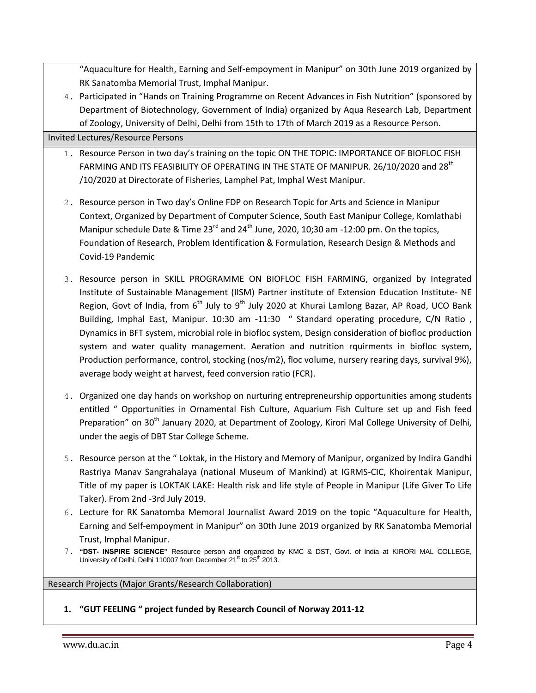"Aquaculture for Health, Earning and Self-empoyment in Manipur" on 30th June 2019 organized by RK Sanatomba Memorial Trust, Imphal Manipur.

4. Participated in "Hands on Training Programme on Recent Advances in Fish Nutrition" (sponsored by Department of Biotechnology, Government of India) organized by Aqua Research Lab, Department of Zoology, University of Delhi, Delhi from 15th to 17th of March 2019 as a Resource Person.

Invited Lectures/Resource Persons

- 1. Resource Person in two day's training on the topic ON THE TOPIC: IMPORTANCE OF BIOFLOC FISH FARMING AND ITS FEASIBILITY OF OPERATING IN THE STATE OF MANIPUR. 26/10/2020 and 28<sup>th</sup> /10/2020 at Directorate of Fisheries, Lamphel Pat, Imphal West Manipur.
- 2. Resource person in Two day's Online FDP on Research Topic for Arts and Science in Manipur Context, Organized by Department of Computer Science, South East Manipur College, Komlathabi Manipur schedule Date & Time  $23^{rd}$  and  $24^{th}$  June, 2020, 10;30 am -12:00 pm. On the topics, Foundation of Research, Problem Identification & Formulation, Research Design & Methods and Covid-19 Pandemic
- 3. Resource person in SKILL PROGRAMME ON BIOFLOC FISH FARMING, organized by Integrated Institute of Sustainable Management (IISM) Partner institute of Extension Education Institute- NE Region, Govt of India, from  $6<sup>th</sup>$  July to 9<sup>th</sup> July 2020 at Khurai Lamlong Bazar, AP Road, UCO Bank Building, Imphal East, Manipur. 10:30 am -11:30 " Standard operating procedure, C/N Ratio, Dynamics in BFT system, microbial role in biofloc system, Design consideration of biofloc production system and water quality management. Aeration and nutrition rquirments in biofloc system, Production performance, control, stocking (nos/m2), floc volume, nursery rearing days, survival 9%), average body weight at harvest, feed conversion ratio (FCR).
- 4. Organized one day hands on workshop on nurturing entrepreneurship opportunities among students entitled " Opportunities in Ornamental Fish Culture, Aquarium Fish Culture set up and Fish feed Preparation" on 30<sup>th</sup> January 2020, at Department of Zoology, Kirori Mal College University of Delhi, under the aegis of DBT Star College Scheme.
- 5. Resource person at the " Loktak, in the History and Memory of Manipur, organized by Indira Gandhi Rastriya Manav Sangrahalaya (national Museum of Mankind) at IGRMS-CIC, Khoirentak Manipur, Title of my paper is LOKTAK LAKE: Health risk and life style of People in Manipur (Life Giver To Life Taker). From 2nd -3rd July 2019.
- 6. Lecture for RK Sanatomba Memoral Journalist Award 2019 on the topic "Aquaculture for Health, Earning and Self-empoyment in Manipur" on 30th June 2019 organized by RK Sanatomba Memorial Trust, Imphal Manipur.
- 7. **"DST- INSPIRE SCIENCE"** Resource person and organized by KMC & DST, Govt. of India at KIRORI MAL COLLEGE, University of Delhi, Delhi 110007 from December  $21<sup>st</sup>$  to  $25<sup>th</sup>$  2013.

Research Projects (Major Grants/Research Collaboration)

**1. "GUT FEELING " project funded by Research Council of Norway 2011-12**